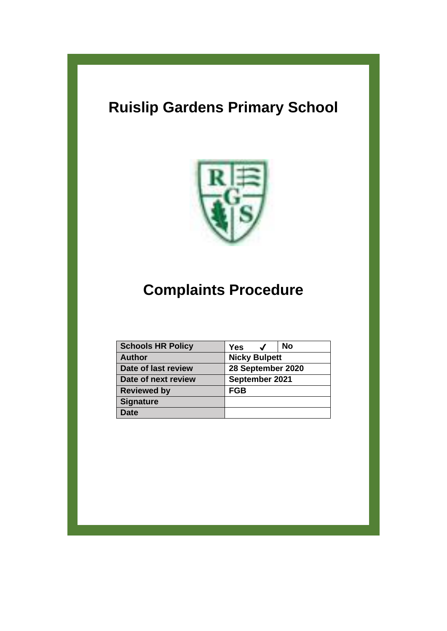# **Ruislip Gardens Primary School**



# **Complaints Procedure**

| <b>Schools HR Policy</b> | <b>No</b><br><b>Yes</b> |
|--------------------------|-------------------------|
| <b>Author</b>            | <b>Nicky Bulpett</b>    |
| Date of last review      | 28 September 2020       |
| Date of next review      | September 2021          |
| <b>Reviewed by</b>       | <b>FGB</b>              |
| <b>Signature</b>         |                         |
| <b>Date</b>              |                         |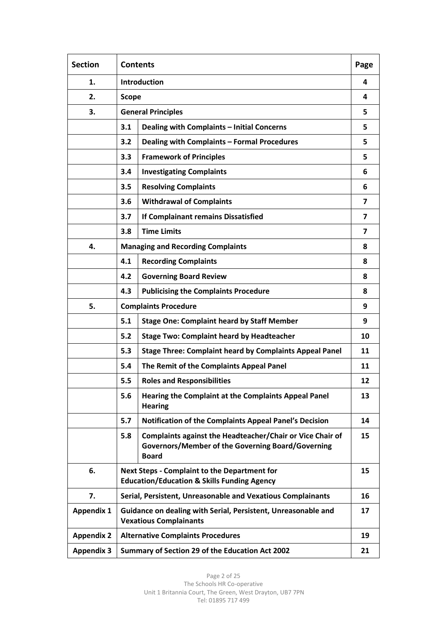| <b>Section</b>    | <b>Contents</b>                                                                                      |                                                                                                                                       | Page                    |
|-------------------|------------------------------------------------------------------------------------------------------|---------------------------------------------------------------------------------------------------------------------------------------|-------------------------|
| 1.                | <b>Introduction</b>                                                                                  |                                                                                                                                       | 4                       |
| 2.                | <b>Scope</b>                                                                                         |                                                                                                                                       | 4                       |
| 3.                |                                                                                                      | <b>General Principles</b>                                                                                                             | 5                       |
|                   | 3.1                                                                                                  | <b>Dealing with Complaints - Initial Concerns</b>                                                                                     | 5                       |
|                   | 3.2                                                                                                  | Dealing with Complaints - Formal Procedures                                                                                           | 5                       |
|                   | 3.3                                                                                                  | <b>Framework of Principles</b>                                                                                                        | 5                       |
|                   | 3.4                                                                                                  | <b>Investigating Complaints</b>                                                                                                       | 6                       |
|                   | 3.5                                                                                                  | <b>Resolving Complaints</b>                                                                                                           | 6                       |
|                   | 3.6                                                                                                  | <b>Withdrawal of Complaints</b>                                                                                                       | 7                       |
|                   | 3.7                                                                                                  | If Complainant remains Dissatisfied                                                                                                   | $\overline{\mathbf{z}}$ |
|                   | <b>Time Limits</b><br>3.8                                                                            |                                                                                                                                       | $\overline{\mathbf{z}}$ |
| 4.                |                                                                                                      | <b>Managing and Recording Complaints</b>                                                                                              | 8                       |
|                   | 4.1                                                                                                  | <b>Recording Complaints</b>                                                                                                           | 8                       |
|                   | 4.2                                                                                                  | <b>Governing Board Review</b>                                                                                                         | 8                       |
|                   | 4.3                                                                                                  | <b>Publicising the Complaints Procedure</b>                                                                                           | 8                       |
| 5.                |                                                                                                      | <b>Complaints Procedure</b>                                                                                                           | 9                       |
|                   | 5.1                                                                                                  | <b>Stage One: Complaint heard by Staff Member</b>                                                                                     | 9                       |
|                   | 5.2                                                                                                  | <b>Stage Two: Complaint heard by Headteacher</b>                                                                                      | 10                      |
|                   | 5.3                                                                                                  | <b>Stage Three: Complaint heard by Complaints Appeal Panel</b>                                                                        | 11                      |
|                   | 5.4                                                                                                  | The Remit of the Complaints Appeal Panel                                                                                              | 11                      |
|                   | 5.5                                                                                                  | <b>Roles and Responsibilities</b>                                                                                                     | 12                      |
|                   | 5.6                                                                                                  | Hearing the Complaint at the Complaints Appeal Panel<br><b>Hearing</b>                                                                | 13                      |
|                   | 5.7                                                                                                  | <b>Notification of the Complaints Appeal Panel's Decision</b>                                                                         | 14                      |
|                   | 5.8                                                                                                  | Complaints against the Headteacher/Chair or Vice Chair of<br><b>Governors/Member of the Governing Board/Governing</b><br><b>Board</b> | 15                      |
| 6.                |                                                                                                      | <b>Next Steps - Complaint to the Department for</b><br><b>Education/Education &amp; Skills Funding Agency</b>                         | 15                      |
| 7.                | Serial, Persistent, Unreasonable and Vexatious Complainants<br>16                                    |                                                                                                                                       |                         |
| <b>Appendix 1</b> | Guidance on dealing with Serial, Persistent, Unreasonable and<br>17<br><b>Vexatious Complainants</b> |                                                                                                                                       |                         |
| <b>Appendix 2</b> | <b>Alternative Complaints Procedures</b><br>19                                                       |                                                                                                                                       |                         |
| <b>Appendix 3</b> | Summary of Section 29 of the Education Act 2002<br>21                                                |                                                                                                                                       |                         |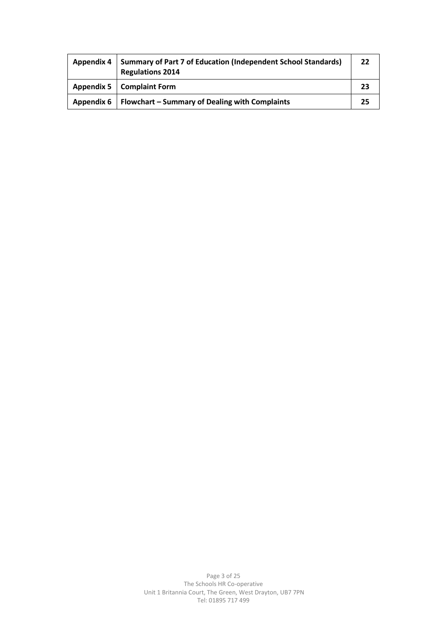| <b>Appendix 4</b> | <b>Summary of Part 7 of Education (Independent School Standards)</b><br><b>Regulations 2014</b> | 22 |
|-------------------|-------------------------------------------------------------------------------------------------|----|
|                   | Appendix 5   Complaint Form                                                                     | 23 |
|                   | Appendix 6   Flowchart – Summary of Dealing with Complaints                                     | 25 |

Page 3 of 25 The Schools HR Co-operative Unit 1 Britannia Court, The Green, West Drayton, UB7 7PN Tel: 01895 717 499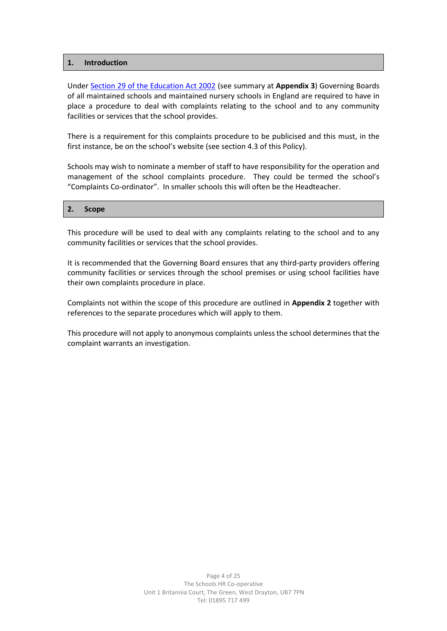#### **1. Introduction**

Under [Section 29 of the Education Act 2002](http://www.legislation.gov.uk/ukpga/2002/32/section/29) (see summary at **Appendix 3**) Governing Boards of all maintained schools and maintained nursery schools in England are required to have in place a procedure to deal with complaints relating to the school and to any community facilities or services that the school provides.

There is a requirement for this complaints procedure to be publicised and this must, in the first instance, be on the school's website (see section 4.3 of this Policy).

Schools may wish to nominate a member of staff to have responsibility for the operation and management of the school complaints procedure. They could be termed the school's "Complaints Co-ordinator". In smaller schools this will often be the Headteacher.

#### **2. Scope**

This procedure will be used to deal with any complaints relating to the school and to any community facilities or services that the school provides.

It is recommended that the Governing Board ensures that any third-party providers offering community facilities or services through the school premises or using school facilities have their own complaints procedure in place.

Complaints not within the scope of this procedure are outlined in **Appendix 2** together with references to the separate procedures which will apply to them.

This procedure will not apply to anonymous complaints unless the school determines that the complaint warrants an investigation.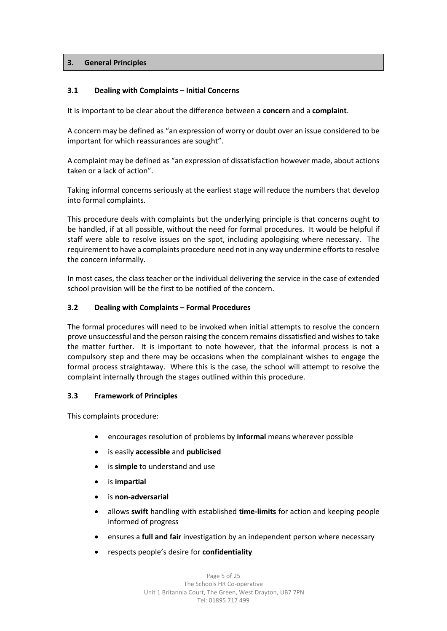## **3. General Principles**

## **3.1 Dealing with Complaints – Initial Concerns**

It is important to be clear about the difference between a **concern** and a **complaint**.

A concern may be defined as "an expression of worry or doubt over an issue considered to be important for which reassurances are sought".

A complaint may be defined as "an expression of dissatisfaction however made, about actions taken or a lack of action".

Taking informal concerns seriously at the earliest stage will reduce the numbers that develop into formal complaints.

This procedure deals with complaints but the underlying principle is that concerns ought to be handled, if at all possible, without the need for formal procedures. It would be helpful if staff were able to resolve issues on the spot, including apologising where necessary. The requirement to have a complaints procedure need not in any way undermine efforts to resolve the concern informally.

In most cases, the class teacher or the individual delivering the service in the case of extended school provision will be the first to be notified of the concern.

## **3.2 Dealing with Complaints – Formal Procedures**

The formal procedures will need to be invoked when initial attempts to resolve the concern prove unsuccessful and the person raising the concern remains dissatisfied and wishes to take the matter further. It is important to note however, that the informal process is not a compulsory step and there may be occasions when the complainant wishes to engage the formal process straightaway. Where this is the case, the school will attempt to resolve the complaint internally through the stages outlined within this procedure.

#### **3.3 Framework of Principles**

This complaints procedure:

- encourages resolution of problems by **informal** means wherever possible
- is easily **accessible** and **publicised**
- is **simple** to understand and use
- is **impartial**
- is **non-adversarial**
- allows **swift** handling with established **time-limits** for action and keeping people informed of progress
- ensures a **full and fair** investigation by an independent person where necessary
- respects people's desire for **confidentiality**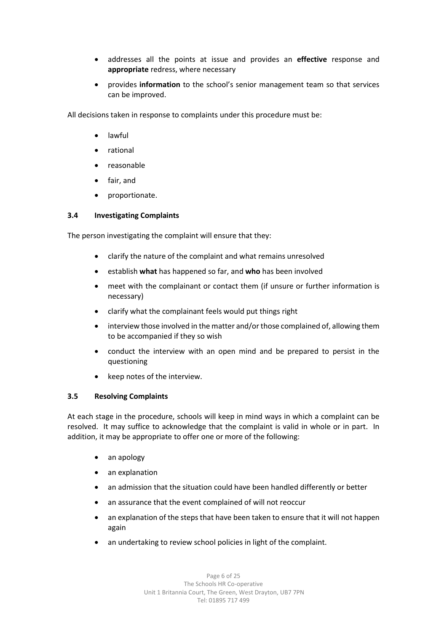- addresses all the points at issue and provides an **effective** response and **appropriate** redress, where necessary
- provides **information** to the school's senior management team so that services can be improved.

All decisions taken in response to complaints under this procedure must be:

- lawful
- rational
- reasonable
- fair, and
- proportionate.

#### **3.4 Investigating Complaints**

The person investigating the complaint will ensure that they:

- clarify the nature of the complaint and what remains unresolved
- establish **what** has happened so far, and **who** has been involved
- meet with the complainant or contact them (if unsure or further information is necessary)
- clarify what the complainant feels would put things right
- interview those involved in the matter and/or those complained of, allowing them to be accompanied if they so wish
- conduct the interview with an open mind and be prepared to persist in the questioning
- keep notes of the interview.

#### **3.5 Resolving Complaints**

At each stage in the procedure, schools will keep in mind ways in which a complaint can be resolved. It may suffice to acknowledge that the complaint is valid in whole or in part. In addition, it may be appropriate to offer one or more of the following:

- an apology
- an explanation
- an admission that the situation could have been handled differently or better
- an assurance that the event complained of will not reoccur
- an explanation of the steps that have been taken to ensure that it will not happen again
- an undertaking to review school policies in light of the complaint.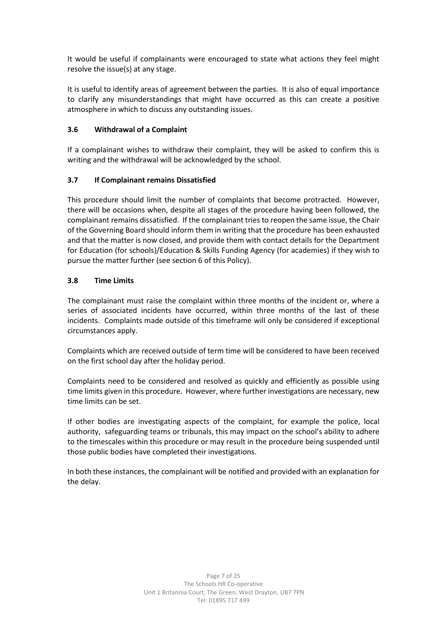It would be useful if complainants were encouraged to state what actions they feel might resolve the issue(s) at any stage.

It is useful to identify areas of agreement between the parties. It is also of equal importance to clarify any misunderstandings that might have occurred as this can create a positive atmosphere in which to discuss any outstanding issues.

## **3.6 Withdrawal of a Complaint**

If a complainant wishes to withdraw their complaint, they will be asked to confirm this is writing and the withdrawal will be acknowledged by the school.

## **3.7 If Complainant remains Dissatisfied**

This procedure should limit the number of complaints that become protracted. However, there will be occasions when, despite all stages of the procedure having been followed, the complainant remains dissatisfied. If the complainant tries to reopen the same issue, the Chair of the Governing Board should inform them in writing that the procedure has been exhausted and that the matter is now closed, and provide them with contact details for the Department for Education (for schools)/Education & Skills Funding Agency (for academies) if they wish to pursue the matter further (see section 6 of this Policy).

## **3.8 Time Limits**

The complainant must raise the complaint within three months of the incident or, where a series of associated incidents have occurred, within three months of the last of these incidents. Complaints made outside of this timeframe will only be considered if exceptional circumstances apply.

Complaints which are received outside of term time will be considered to have been received on the first school day after the holiday period.

Complaints need to be considered and resolved as quickly and efficiently as possible using time limits given in this procedure. However, where further investigations are necessary, new time limits can be set.

If other bodies are investigating aspects of the complaint, for example the police, local authority, safeguarding teams or tribunals, this may impact on the school's ability to adhere to the timescales within this procedure or may result in the procedure being suspended until those public bodies have completed their investigations.

In both these instances, the complainant will be notified and provided with an explanation for the delay.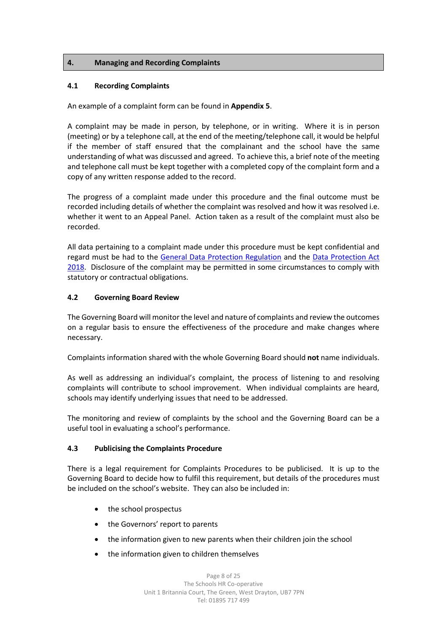## **4. Managing and Recording Complaints**

#### **4.1 Recording Complaints**

An example of a complaint form can be found in **Appendix 5**.

A complaint may be made in person, by telephone, or in writing. Where it is in person (meeting) or by a telephone call, at the end of the meeting/telephone call, it would be helpful if the member of staff ensured that the complainant and the school have the same understanding of what was discussed and agreed. To achieve this, a brief note of the meeting and telephone call must be kept together with a completed copy of the complaint form and a copy of any written response added to the record.

The progress of a complaint made under this procedure and the final outcome must be recorded including details of whether the complaint was resolved and how it was resolved i.e. whether it went to an Appeal Panel. Action taken as a result of the complaint must also be recorded.

All data pertaining to a complaint made under this procedure must be kept confidential and regard must be had to the [General Data Protection Regulation](https://eur-lex.europa.eu/legal-content/EN/TXT/?uri=uriserv:OJ.L_.2016.119.01.0001.01.ENG) and the [Data Protection Act](http://www.legislation.gov.uk/ukpga/2018/12/contents/enacted)  [2018.](http://www.legislation.gov.uk/ukpga/2018/12/contents/enacted) Disclosure of the complaint may be permitted in some circumstances to comply with statutory or contractual obligations.

#### **4.2 Governing Board Review**

The Governing Board will monitor the level and nature of complaints and review the outcomes on a regular basis to ensure the effectiveness of the procedure and make changes where necessary.

Complaints information shared with the whole Governing Board should **not** name individuals.

As well as addressing an individual's complaint, the process of listening to and resolving complaints will contribute to school improvement. When individual complaints are heard, schools may identify underlying issues that need to be addressed.

The monitoring and review of complaints by the school and the Governing Board can be a useful tool in evaluating a school's performance.

#### **4.3 Publicising the Complaints Procedure**

There is a legal requirement for Complaints Procedures to be publicised. It is up to the Governing Board to decide how to fulfil this requirement, but details of the procedures must be included on the school's website. They can also be included in:

- the school prospectus
- the Governors' report to parents
- the information given to new parents when their children join the school
- the information given to children themselves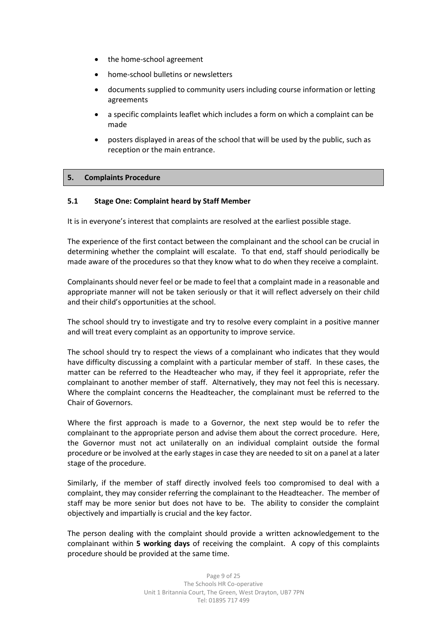- the home-school agreement
- home-school bulletins or newsletters
- documents supplied to community users including course information or letting agreements
- a specific complaints leaflet which includes a form on which a complaint can be made
- posters displayed in areas of the school that will be used by the public, such as reception or the main entrance.

#### **5. Complaints Procedure**

#### **5.1 Stage One: Complaint heard by Staff Member**

It is in everyone's interest that complaints are resolved at the earliest possible stage.

The experience of the first contact between the complainant and the school can be crucial in determining whether the complaint will escalate. To that end, staff should periodically be made aware of the procedures so that they know what to do when they receive a complaint.

Complainants should never feel or be made to feel that a complaint made in a reasonable and appropriate manner will not be taken seriously or that it will reflect adversely on their child and their child's opportunities at the school.

The school should try to investigate and try to resolve every complaint in a positive manner and will treat every complaint as an opportunity to improve service.

The school should try to respect the views of a complainant who indicates that they would have difficulty discussing a complaint with a particular member of staff. In these cases, the matter can be referred to the Headteacher who may, if they feel it appropriate, refer the complainant to another member of staff. Alternatively, they may not feel this is necessary. Where the complaint concerns the Headteacher, the complainant must be referred to the Chair of Governors.

Where the first approach is made to a Governor, the next step would be to refer the complainant to the appropriate person and advise them about the correct procedure. Here, the Governor must not act unilaterally on an individual complaint outside the formal procedure or be involved at the early stages in case they are needed to sit on a panel at a later stage of the procedure.

Similarly, if the member of staff directly involved feels too compromised to deal with a complaint, they may consider referring the complainant to the Headteacher. The member of staff may be more senior but does not have to be. The ability to consider the complaint objectively and impartially is crucial and the key factor.

The person dealing with the complaint should provide a written acknowledgement to the complainant within **5 working days** of receiving the complaint. A copy of this complaints procedure should be provided at the same time.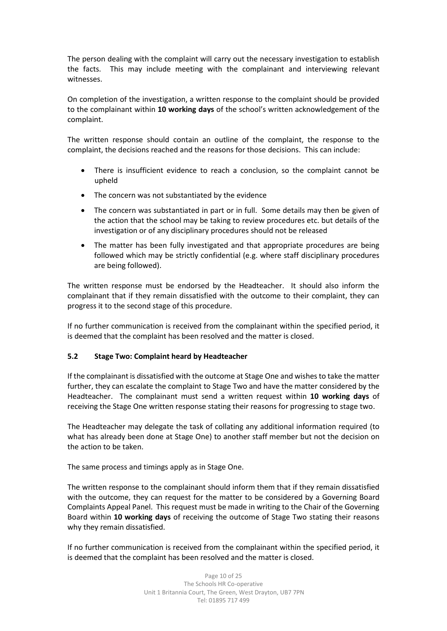The person dealing with the complaint will carry out the necessary investigation to establish the facts. This may include meeting with the complainant and interviewing relevant witnesses.

On completion of the investigation, a written response to the complaint should be provided to the complainant within **10 working days** of the school's written acknowledgement of the complaint.

The written response should contain an outline of the complaint, the response to the complaint, the decisions reached and the reasons for those decisions. This can include:

- There is insufficient evidence to reach a conclusion, so the complaint cannot be upheld
- The concern was not substantiated by the evidence
- The concern was substantiated in part or in full. Some details may then be given of the action that the school may be taking to review procedures etc. but details of the investigation or of any disciplinary procedures should not be released
- The matter has been fully investigated and that appropriate procedures are being followed which may be strictly confidential (e.g. where staff disciplinary procedures are being followed).

The written response must be endorsed by the Headteacher. It should also inform the complainant that if they remain dissatisfied with the outcome to their complaint, they can progress it to the second stage of this procedure.

If no further communication is received from the complainant within the specified period, it is deemed that the complaint has been resolved and the matter is closed.

#### **5.2 Stage Two: Complaint heard by Headteacher**

If the complainant is dissatisfied with the outcome at Stage One and wishes to take the matter further, they can escalate the complaint to Stage Two and have the matter considered by the Headteacher. The complainant must send a written request within **10 working days** of receiving the Stage One written response stating their reasons for progressing to stage two.

The Headteacher may delegate the task of collating any additional information required (to what has already been done at Stage One) to another staff member but not the decision on the action to be taken.

The same process and timings apply as in Stage One.

The written response to the complainant should inform them that if they remain dissatisfied with the outcome, they can request for the matter to be considered by a Governing Board Complaints Appeal Panel. This request must be made in writing to the Chair of the Governing Board within **10 working days** of receiving the outcome of Stage Two stating their reasons why they remain dissatisfied.

If no further communication is received from the complainant within the specified period, it is deemed that the complaint has been resolved and the matter is closed.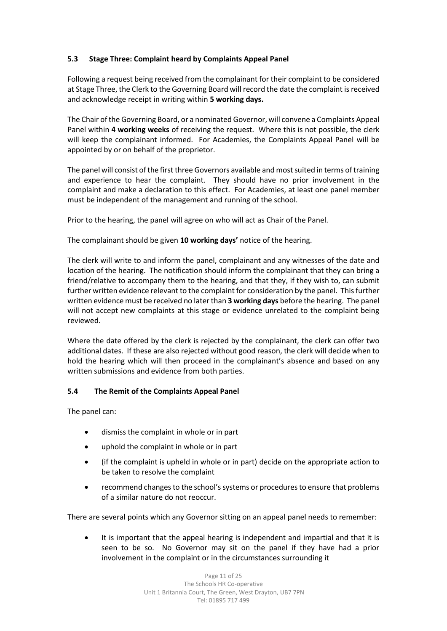# **5.3 Stage Three: Complaint heard by Complaints Appeal Panel**

Following a request being received from the complainant for their complaint to be considered at Stage Three, the Clerk to the Governing Board will record the date the complaint is received and acknowledge receipt in writing within **5 working days.**

The Chair of the Governing Board, or a nominated Governor, will convene a Complaints Appeal Panel within **4 working weeks** of receiving the request. Where this is not possible, the clerk will keep the complainant informed. For Academies, the Complaints Appeal Panel will be appointed by or on behalf of the proprietor.

The panel will consist of the first three Governors available and most suited in terms of training and experience to hear the complaint. They should have no prior involvement in the complaint and make a declaration to this effect. For Academies, at least one panel member must be independent of the management and running of the school.

Prior to the hearing, the panel will agree on who will act as Chair of the Panel.

The complainant should be given **10 working days'** notice of the hearing.

The clerk will write to and inform the panel, complainant and any witnesses of the date and location of the hearing. The notification should inform the complainant that they can bring a friend/relative to accompany them to the hearing, and that they, if they wish to, can submit further written evidence relevant to the complaint for consideration by the panel. This further written evidence must be received no later than **3 working days** before the hearing. The panel will not accept new complaints at this stage or evidence unrelated to the complaint being reviewed.

Where the date offered by the clerk is rejected by the complainant, the clerk can offer two additional dates. If these are also rejected without good reason, the clerk will decide when to hold the hearing which will then proceed in the complainant's absence and based on any written submissions and evidence from both parties.

## **5.4 The Remit of the Complaints Appeal Panel**

The panel can:

- dismiss the complaint in whole or in part
- uphold the complaint in whole or in part
- (if the complaint is upheld in whole or in part) decide on the appropriate action to be taken to resolve the complaint
- recommend changes to the school's systems or procedures to ensure that problems of a similar nature do not reoccur.

There are several points which any Governor sitting on an appeal panel needs to remember:

• It is important that the appeal hearing is independent and impartial and that it is seen to be so. No Governor may sit on the panel if they have had a prior involvement in the complaint or in the circumstances surrounding it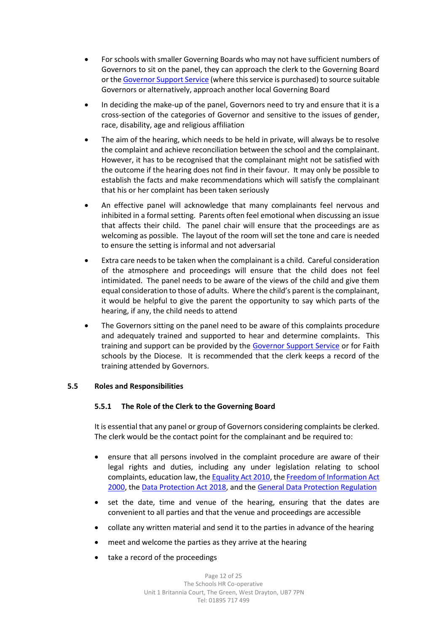- For schools with smaller Governing Boards who may not have sufficient numbers of Governors to sit on the panel, they can approach the clerk to the Governing Board or th[e Governor Support Service](https://www.governor.support/) (where this service is purchased) to source suitable Governors or alternatively, approach another local Governing Board
- In deciding the make-up of the panel, Governors need to try and ensure that it is a cross-section of the categories of Governor and sensitive to the issues of gender, race, disability, age and religious affiliation
- The aim of the hearing, which needs to be held in private, will always be to resolve the complaint and achieve reconciliation between the school and the complainant. However, it has to be recognised that the complainant might not be satisfied with the outcome if the hearing does not find in their favour. It may only be possible to establish the facts and make recommendations which will satisfy the complainant that his or her complaint has been taken seriously
- An effective panel will acknowledge that many complainants feel nervous and inhibited in a formal setting. Parents often feel emotional when discussing an issue that affects their child. The panel chair will ensure that the proceedings are as welcoming as possible. The layout of the room will set the tone and care is needed to ensure the setting is informal and not adversarial
- Extra care needs to be taken when the complainant is a child. Careful consideration of the atmosphere and proceedings will ensure that the child does not feel intimidated. The panel needs to be aware of the views of the child and give them equal consideration to those of adults. Where the child's parent is the complainant, it would be helpful to give the parent the opportunity to say which parts of the hearing, if any, the child needs to attend
- The Governors sitting on the panel need to be aware of this complaints procedure and adequately trained and supported to hear and determine complaints. This training and support can be provided by the [Governor Support Service](https://www.governor.support/) or for Faith schools by the Diocese. It is recommended that the clerk keeps a record of the training attended by Governors.

#### **5.5 Roles and Responsibilities**

#### **5.5.1 The Role of the Clerk to the Governing Board**

It is essential that any panel or group of Governors considering complaints be clerked. The clerk would be the contact point for the complainant and be required to:

- ensure that all persons involved in the complaint procedure are aware of their legal rights and duties, including any under legislation relating to school complaints, education law, th[e Equality Act 2010,](http://www.legislation.gov.uk/ukpga/2010/15/contents) th[e Freedom of Information Act](http://www.legislation.gov.uk/ukpga/2000/36/contents)  [2000,](http://www.legislation.gov.uk/ukpga/2000/36/contents) the [Data Protection Act 2018,](http://www.legislation.gov.uk/ukpga/2018/12/contents/enacted) and the [General Data Protection Regulation](https://eur-lex.europa.eu/legal-content/EN/TXT/?uri=uriserv:OJ.L_.2016.119.01.0001.01.ENG)
- set the date, time and venue of the hearing, ensuring that the dates are convenient to all parties and that the venue and proceedings are accessible
- collate any written material and send it to the parties in advance of the hearing
- meet and welcome the parties as they arrive at the hearing
- take a record of the proceedings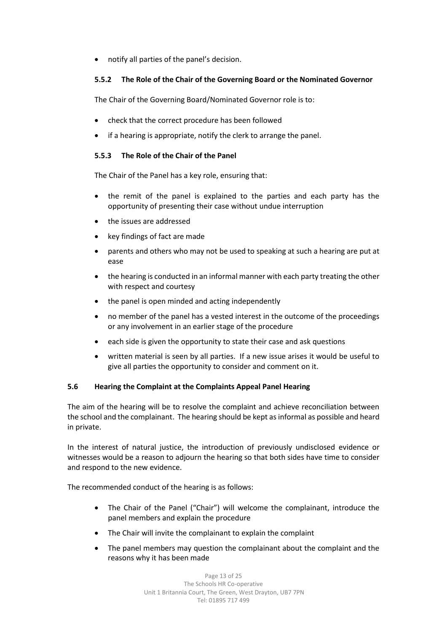• notify all parties of the panel's decision.

## **5.5.2 The Role of the Chair of the Governing Board or the Nominated Governor**

The Chair of the Governing Board/Nominated Governor role is to:

- check that the correct procedure has been followed
- if a hearing is appropriate, notify the clerk to arrange the panel.

#### **5.5.3 The Role of the Chair of the Panel**

The Chair of the Panel has a key role, ensuring that:

- the remit of the panel is explained to the parties and each party has the opportunity of presenting their case without undue interruption
- the issues are addressed
- key findings of fact are made
- parents and others who may not be used to speaking at such a hearing are put at ease
- the hearing is conducted in an informal manner with each party treating the other with respect and courtesy
- the panel is open minded and acting independently
- no member of the panel has a vested interest in the outcome of the proceedings or any involvement in an earlier stage of the procedure
- each side is given the opportunity to state their case and ask questions
- written material is seen by all parties. If a new issue arises it would be useful to give all parties the opportunity to consider and comment on it.

#### **5.6 Hearing the Complaint at the Complaints Appeal Panel Hearing**

The aim of the hearing will be to resolve the complaint and achieve reconciliation between the school and the complainant. The hearing should be kept as informal as possible and heard in private.

In the interest of natural justice, the introduction of previously undisclosed evidence or witnesses would be a reason to adjourn the hearing so that both sides have time to consider and respond to the new evidence.

The recommended conduct of the hearing is as follows:

- The Chair of the Panel ("Chair") will welcome the complainant, introduce the panel members and explain the procedure
- The Chair will invite the complainant to explain the complaint
- The panel members may question the complainant about the complaint and the reasons why it has been made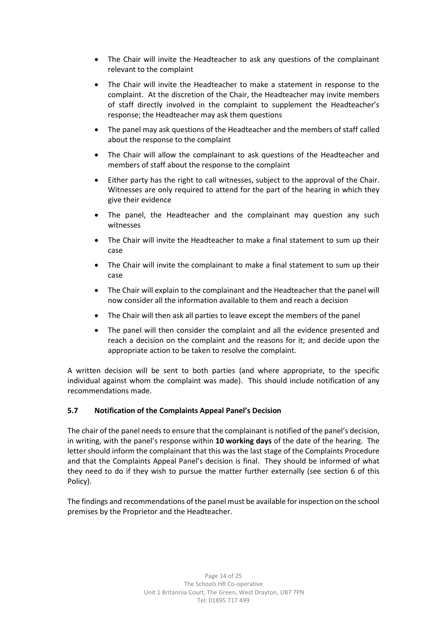- The Chair will invite the Headteacher to ask any questions of the complainant relevant to the complaint
- The Chair will invite the Headteacher to make a statement in response to the complaint. At the discretion of the Chair, the Headteacher may invite members of staff directly involved in the complaint to supplement the Headteacher's response; the Headteacher may ask them questions
- The panel may ask questions of the Headteacher and the members of staff called about the response to the complaint
- The Chair will allow the complainant to ask questions of the Headteacher and members of staff about the response to the complaint
- Either party has the right to call witnesses, subject to the approval of the Chair. Witnesses are only required to attend for the part of the hearing in which they give their evidence
- The panel, the Headteacher and the complainant may question any such witnesses
- The Chair will invite the Headteacher to make a final statement to sum up their case
- The Chair will invite the complainant to make a final statement to sum up their case
- The Chair will explain to the complainant and the Headteacher that the panel will now consider all the information available to them and reach a decision
- The Chair will then ask all parties to leave except the members of the panel
- The panel will then consider the complaint and all the evidence presented and reach a decision on the complaint and the reasons for it; and decide upon the appropriate action to be taken to resolve the complaint.

A written decision will be sent to both parties (and where appropriate, to the specific individual against whom the complaint was made). This should include notification of any recommendations made.

#### **5.7 Notification of the Complaints Appeal Panel's Decision**

The chair of the panel needs to ensure that the complainant is notified of the panel's decision, in writing, with the panel's response within **10 working days** of the date of the hearing. The letter should inform the complainant that this was the last stage of the Complaints Procedure and that the Complaints Appeal Panel's decision is final. They should be informed of what they need to do if they wish to pursue the matter further externally (see section 6 of this Policy).

The findings and recommendations of the panel must be available for inspection on the school premises by the Proprietor and the Headteacher.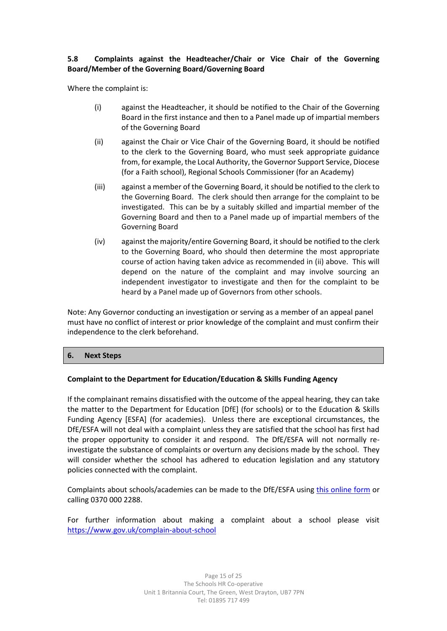## **5.8 Complaints against the Headteacher/Chair or Vice Chair of the Governing Board/Member of the Governing Board/Governing Board**

Where the complaint is:

- (i) against the Headteacher, it should be notified to the Chair of the Governing Board in the first instance and then to a Panel made up of impartial members of the Governing Board
- (ii) against the Chair or Vice Chair of the Governing Board, it should be notified to the clerk to the Governing Board, who must seek appropriate guidance from, for example, the Local Authority, the Governor Support Service, Diocese (for a Faith school), Regional Schools Commissioner (for an Academy)
- (iii) against a member of the Governing Board, it should be notified to the clerk to the Governing Board. The clerk should then arrange for the complaint to be investigated. This can be by a suitably skilled and impartial member of the Governing Board and then to a Panel made up of impartial members of the Governing Board
- (iv) against the majority/entire Governing Board, it should be notified to the clerk to the Governing Board, who should then determine the most appropriate course of action having taken advice as recommended in (ii) above. This will depend on the nature of the complaint and may involve sourcing an independent investigator to investigate and then for the complaint to be heard by a Panel made up of Governors from other schools.

Note: Any Governor conducting an investigation or serving as a member of an appeal panel must have no conflict of interest or prior knowledge of the complaint and must confirm their independence to the clerk beforehand.

#### **6. Next Steps**

## **Complaint to the Department for Education/Education & Skills Funding Agency**

If the complainant remains dissatisfied with the outcome of the appeal hearing, they can take the matter to the Department for Education [DfE] (for schools) or to the Education & Skills Funding Agency [ESFA] (for academies). Unless there are exceptional circumstances, the DfE/ESFA will not deal with a complaint unless they are satisfied that the school has first had the proper opportunity to consider it and respond. The DfE/ESFA will not normally reinvestigate the substance of complaints or overturn any decisions made by the school. They will consider whether the school has adhered to education legislation and any statutory policies connected with the complaint.

Complaints about schools/academies can be made to the DfE/ESFA using [this online form](https://form.education.gov.uk/en/AchieveForms/?form_uri=sandbox-publish://AF-Process-f1453496-7d8a-463f-9f33-1da2ac47ed76/AF-Stage-1e64d4cc-25fb-499a-a8d7-74e98203ac00/definition.json&redirectlink=%2Fen&cancelRedirectLink=%2Fen) or calling 0370 000 2288.

For further information about making a complaint about a school please visit <https://www.gov.uk/complain-about-school>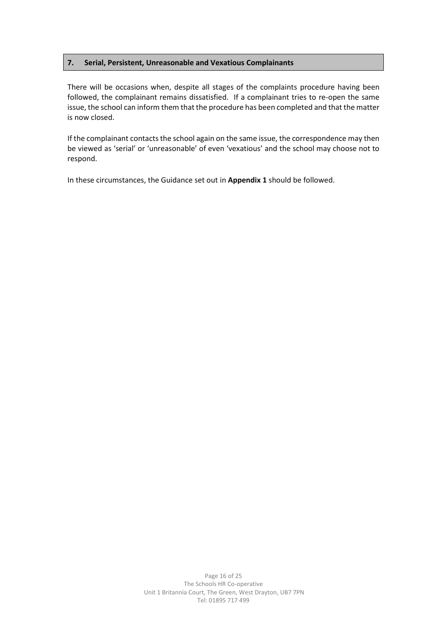## **7. Serial, Persistent, Unreasonable and Vexatious Complainants**

There will be occasions when, despite all stages of the complaints procedure having been followed, the complainant remains dissatisfied. If a complainant tries to re-open the same issue, the school can inform them that the procedure has been completed and that the matter is now closed.

If the complainant contacts the school again on the same issue, the correspondence may then be viewed as 'serial' or 'unreasonable' of even 'vexatious' and the school may choose not to respond.

In these circumstances, the Guidance set out in **Appendix 1** should be followed.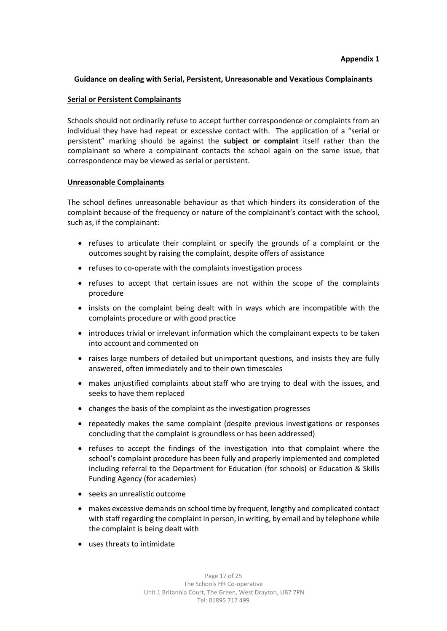## **Guidance on dealing with Serial, Persistent, Unreasonable and Vexatious Complainants**

#### **Serial or Persistent Complainants**

Schools should not ordinarily refuse to accept further correspondence or complaints from an individual they have had repeat or excessive contact with. The application of a "serial or persistent" marking should be against the **subject or complaint** itself rather than the complainant so where a complainant contacts the school again on the same issue, that correspondence may be viewed as serial or persistent.

## **Unreasonable Complainants**

The school defines unreasonable behaviour as that which hinders its consideration of the complaint because of the frequency or nature of the complainant's contact with the school, such as, if the complainant:

- refuses to articulate their complaint or specify the grounds of a complaint or the outcomes sought by raising the complaint, despite offers of assistance
- refuses to co-operate with the complaints investigation process
- refuses to accept that certain issues are not within the scope of the complaints procedure
- insists on the complaint being dealt with in ways which are incompatible with the complaints procedure or with good practice
- introduces trivial or irrelevant information which the complainant expects to be taken into account and commented on
- raises large numbers of detailed but unimportant questions, and insists they are fully answered, often immediately and to their own timescales
- makes unjustified complaints about staff who are trying to deal with the issues, and seeks to have them replaced
- changes the basis of the complaint as the investigation progresses
- repeatedly makes the same complaint (despite previous investigations or responses concluding that the complaint is groundless or has been addressed)
- refuses to accept the findings of the investigation into that complaint where the school's complaint procedure has been fully and properly implemented and completed including referral to the Department for Education (for schools) or Education & Skills Funding Agency (for academies)
- seeks an unrealistic outcome
- makes excessive demands on school time by frequent, lengthy and complicated contact with staff regarding the complaint in person, in writing, by email and by telephone while the complaint is being dealt with
- uses threats to intimidate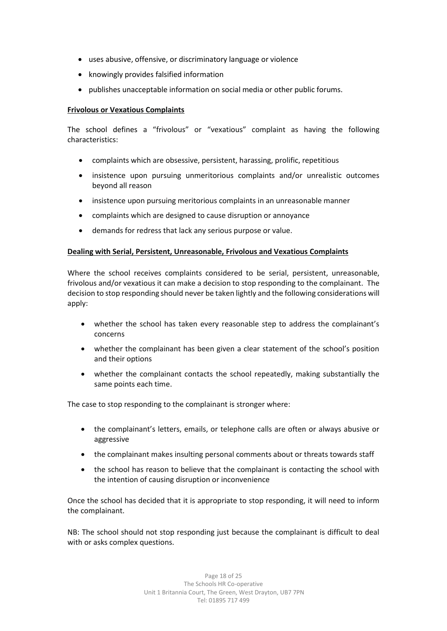- uses abusive, offensive, or discriminatory language or violence
- knowingly provides falsified information
- publishes unacceptable information on social media or other public forums.

#### **Frivolous or Vexatious Complaints**

The school defines a "frivolous" or "vexatious" complaint as having the following characteristics:

- complaints which are obsessive, persistent, harassing, prolific, repetitious
- insistence upon pursuing unmeritorious complaints and/or unrealistic outcomes beyond all reason
- insistence upon pursuing meritorious complaints in an unreasonable manner
- complaints which are designed to cause disruption or annoyance
- demands for redress that lack any serious purpose or value.

#### **Dealing with Serial, Persistent, Unreasonable, Frivolous and Vexatious Complaints**

Where the school receives complaints considered to be serial, persistent, unreasonable, frivolous and/or vexatious it can make a decision to stop responding to the complainant. The decision to stop responding should never be taken lightly and the following considerations will apply:

- whether the school has taken every reasonable step to address the complainant's concerns
- whether the complainant has been given a clear statement of the school's position and their options
- whether the complainant contacts the school repeatedly, making substantially the same points each time.

The case to stop responding to the complainant is stronger where:

- the complainant's letters, emails, or telephone calls are often or always abusive or aggressive
- the complainant makes insulting personal comments about or threats towards staff
- the school has reason to believe that the complainant is contacting the school with the intention of causing disruption or inconvenience

Once the school has decided that it is appropriate to stop responding, it will need to inform the complainant.

NB: The school should not stop responding just because the complainant is difficult to deal with or asks complex questions.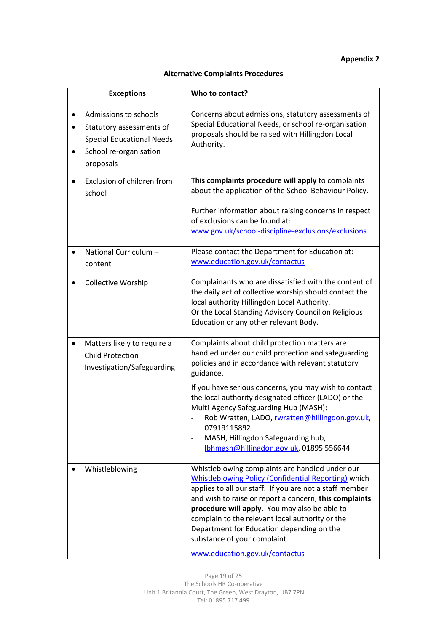# **Appendix 2**

# **Alternative Complaints Procedures**

| <b>Exceptions</b>                                                                                                            | Who to contact?                                                                                                                                                                                                                                                                                                                                                                                                                                        |
|------------------------------------------------------------------------------------------------------------------------------|--------------------------------------------------------------------------------------------------------------------------------------------------------------------------------------------------------------------------------------------------------------------------------------------------------------------------------------------------------------------------------------------------------------------------------------------------------|
| Admissions to schools<br>Statutory assessments of<br><b>Special Educational Needs</b><br>School re-organisation<br>proposals | Concerns about admissions, statutory assessments of<br>Special Educational Needs, or school re-organisation<br>proposals should be raised with Hillingdon Local<br>Authority.                                                                                                                                                                                                                                                                          |
| Exclusion of children from<br>school                                                                                         | This complaints procedure will apply to complaints<br>about the application of the School Behaviour Policy.<br>Further information about raising concerns in respect<br>of exclusions can be found at:                                                                                                                                                                                                                                                 |
|                                                                                                                              | www.gov.uk/school-discipline-exclusions/exclusions                                                                                                                                                                                                                                                                                                                                                                                                     |
| National Curriculum -<br>content                                                                                             | Please contact the Department for Education at:<br>www.education.gov.uk/contactus                                                                                                                                                                                                                                                                                                                                                                      |
| <b>Collective Worship</b>                                                                                                    | Complainants who are dissatisfied with the content of<br>the daily act of collective worship should contact the<br>local authority Hillingdon Local Authority.<br>Or the Local Standing Advisory Council on Religious<br>Education or any other relevant Body.                                                                                                                                                                                         |
| Matters likely to require a<br><b>Child Protection</b><br>Investigation/Safeguarding                                         | Complaints about child protection matters are<br>handled under our child protection and safeguarding<br>policies and in accordance with relevant statutory<br>guidance.                                                                                                                                                                                                                                                                                |
|                                                                                                                              | If you have serious concerns, you may wish to contact<br>the local authority designated officer (LADO) or the<br>Multi-Agency Safeguarding Hub (MASH):<br>Rob Wratten, LADO, rwratten@hillingdon.gov.uk,<br>07919115892<br>MASH, Hillingdon Safeguarding hub,<br>lbhmash@hillingdon.gov.uk, 01895 556644                                                                                                                                               |
| Whistleblowing                                                                                                               | Whistleblowing complaints are handled under our<br><b>Whistleblowing Policy (Confidential Reporting) which</b><br>applies to all our staff. If you are not a staff member<br>and wish to raise or report a concern, this complaints<br>procedure will apply. You may also be able to<br>complain to the relevant local authority or the<br>Department for Education depending on the<br>substance of your complaint.<br>www.education.gov.uk/contactus |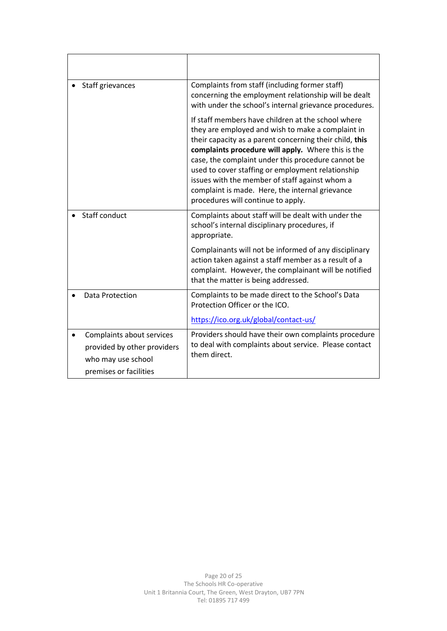| Staff grievances                                                                                         | Complaints from staff (including former staff)<br>concerning the employment relationship will be dealt<br>with under the school's internal grievance procedures.                                                                                                                                                                                                                                                                                                               |
|----------------------------------------------------------------------------------------------------------|--------------------------------------------------------------------------------------------------------------------------------------------------------------------------------------------------------------------------------------------------------------------------------------------------------------------------------------------------------------------------------------------------------------------------------------------------------------------------------|
|                                                                                                          | If staff members have children at the school where<br>they are employed and wish to make a complaint in<br>their capacity as a parent concerning their child, this<br>complaints procedure will apply. Where this is the<br>case, the complaint under this procedure cannot be<br>used to cover staffing or employment relationship<br>issues with the member of staff against whom a<br>complaint is made. Here, the internal grievance<br>procedures will continue to apply. |
| Staff conduct                                                                                            | Complaints about staff will be dealt with under the<br>school's internal disciplinary procedures, if<br>appropriate.                                                                                                                                                                                                                                                                                                                                                           |
|                                                                                                          | Complainants will not be informed of any disciplinary<br>action taken against a staff member as a result of a<br>complaint. However, the complainant will be notified<br>that the matter is being addressed.                                                                                                                                                                                                                                                                   |
| Data Protection                                                                                          | Complaints to be made direct to the School's Data<br>Protection Officer or the ICO.                                                                                                                                                                                                                                                                                                                                                                                            |
|                                                                                                          | https://ico.org.uk/global/contact-us/                                                                                                                                                                                                                                                                                                                                                                                                                                          |
| Complaints about services<br>provided by other providers<br>who may use school<br>premises or facilities | Providers should have their own complaints procedure<br>to deal with complaints about service. Please contact<br>them direct.                                                                                                                                                                                                                                                                                                                                                  |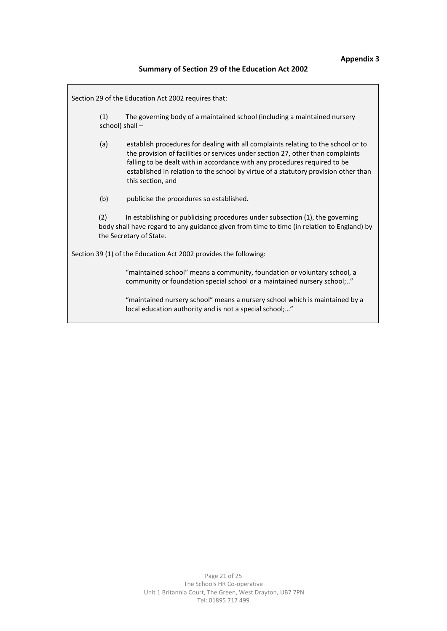# **Summary of Section 29 of the Education Act 2002**

|     | Section 29 of the Education Act 2002 requires that:                                                                                                                                                                                                                                                                                                           |
|-----|---------------------------------------------------------------------------------------------------------------------------------------------------------------------------------------------------------------------------------------------------------------------------------------------------------------------------------------------------------------|
| (1) | The governing body of a maintained school (including a maintained nursery<br>school) shall -                                                                                                                                                                                                                                                                  |
| (a) | establish procedures for dealing with all complaints relating to the school or to<br>the provision of facilities or services under section 27, other than complaints<br>falling to be dealt with in accordance with any procedures required to be<br>established in relation to the school by virtue of a statutory provision other than<br>this section, and |
| (b) | publicise the procedures so established.                                                                                                                                                                                                                                                                                                                      |
| (2) | In establishing or publicising procedures under subsection (1), the governing<br>body shall have regard to any guidance given from time to time (in relation to England) by<br>the Secretary of State.                                                                                                                                                        |
|     | Section 39 (1) of the Education Act 2002 provides the following:                                                                                                                                                                                                                                                                                              |
|     | "maintained school" means a community, foundation or voluntary school, a<br>community or foundation special school or a maintained nursery school;"                                                                                                                                                                                                           |
|     | "maintained nursery school" means a nursery school which is maintained by a<br>local education authority and is not a special school;"                                                                                                                                                                                                                        |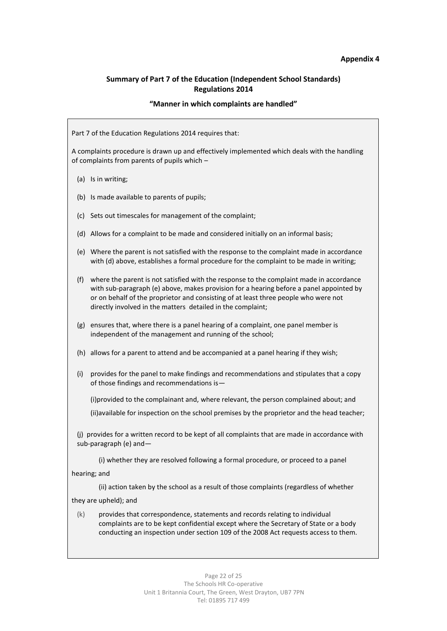#### **Appendix 4**

## **Summary of Part 7 of the Education (Independent School Standards) Regulations 2014**

#### **"Manner in which complaints are handled"**

Part 7 of the Education Regulations 2014 requires that:

A complaints procedure is drawn up and effectively implemented which deals with the handling of complaints from parents of pupils which –

- (a) Is in writing;
- (b) Is made available to parents of pupils;
- (c) Sets out timescales for management of the complaint;
- (d) Allows for a complaint to be made and considered initially on an informal basis;
- (e) Where the parent is not satisfied with the response to the complaint made in accordance with (d) above, establishes a formal procedure for the complaint to be made in writing;
- (f) where the parent is not satisfied with the response to the complaint made in accordance with sub-paragraph (e) above, makes provision for a hearing before a panel appointed by or on behalf of the proprietor and consisting of at least three people who were not directly involved in the matters detailed in the complaint;
- (g) ensures that, where there is a panel hearing of a complaint, one panel member is independent of the management and running of the school;
- (h) allows for a parent to attend and be accompanied at a panel hearing if they wish;
- (i) provides for the panel to make findings and recommendations and stipulates that a copy of those findings and recommendations is—

(i)provided to the complainant and, where relevant, the person complained about; and

(ii)available for inspection on the school premises by the proprietor and the head teacher;

(j) provides for a written record to be kept of all complaints that are made in accordance with sub-paragraph (e) and—

(i) whether they are resolved following a formal procedure, or proceed to a panel

hearing; and

(ii) action taken by the school as a result of those complaints (regardless of whether

they are upheld); and

(k) provides that correspondence, statements and records relating to individual complaints are to be kept confidential except where the Secretary of State or a body conducting an inspection under section 109 of the 2008 Act requests access to them.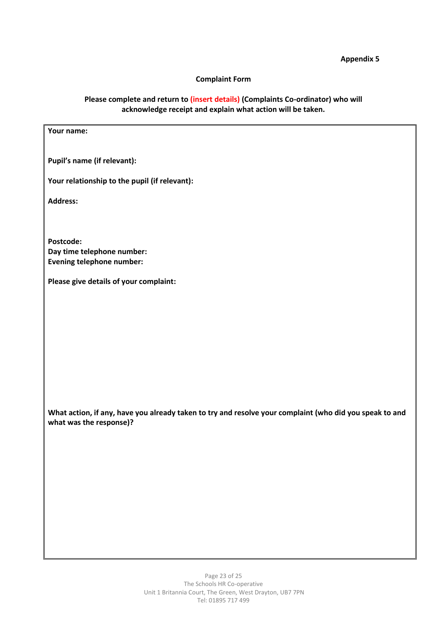## **Appendix 5**

## **Complaint Form**

# **Please complete and return to (insert details) (Complaints Co-ordinator) who will acknowledge receipt and explain what action will be taken.**

| Your name:                                                                                              |
|---------------------------------------------------------------------------------------------------------|
|                                                                                                         |
| Pupil's name (if relevant):                                                                             |
| Your relationship to the pupil (if relevant):                                                           |
| Address:                                                                                                |
|                                                                                                         |
| Postcode:                                                                                               |
| Day time telephone number:                                                                              |
| <b>Evening telephone number:</b>                                                                        |
| Please give details of your complaint:                                                                  |
|                                                                                                         |
|                                                                                                         |
|                                                                                                         |
|                                                                                                         |
|                                                                                                         |
|                                                                                                         |
|                                                                                                         |
|                                                                                                         |
| What action, if any, have you already taken to try and resolve your complaint (who did you speak to and |
| what was the response)?                                                                                 |
|                                                                                                         |
|                                                                                                         |
|                                                                                                         |
|                                                                                                         |
|                                                                                                         |
|                                                                                                         |
|                                                                                                         |
|                                                                                                         |
|                                                                                                         |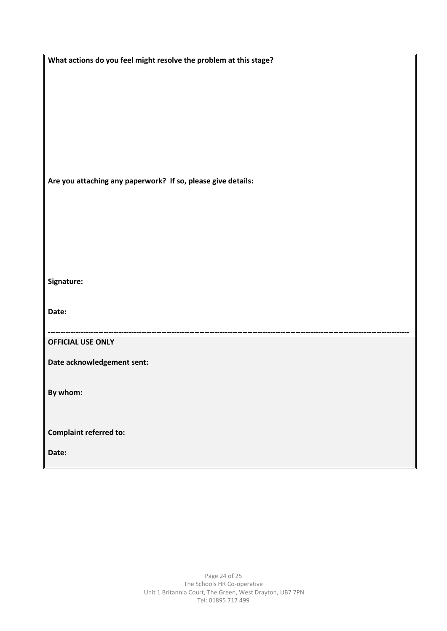| What actions do you feel might resolve the problem at this stage? |
|-------------------------------------------------------------------|
|                                                                   |
|                                                                   |
|                                                                   |
|                                                                   |
|                                                                   |
|                                                                   |
|                                                                   |
|                                                                   |
| Are you attaching any paperwork? If so, please give details:      |
|                                                                   |
|                                                                   |
|                                                                   |
|                                                                   |
|                                                                   |
|                                                                   |
| Signature:                                                        |
|                                                                   |
| Date:                                                             |
|                                                                   |
|                                                                   |
| <b>OFFICIAL USE ONLY</b>                                          |
| Date acknowledgement sent:                                        |
|                                                                   |
| By whom:                                                          |
|                                                                   |
|                                                                   |
| <b>Complaint referred to:</b>                                     |
|                                                                   |
| Date:                                                             |
|                                                                   |